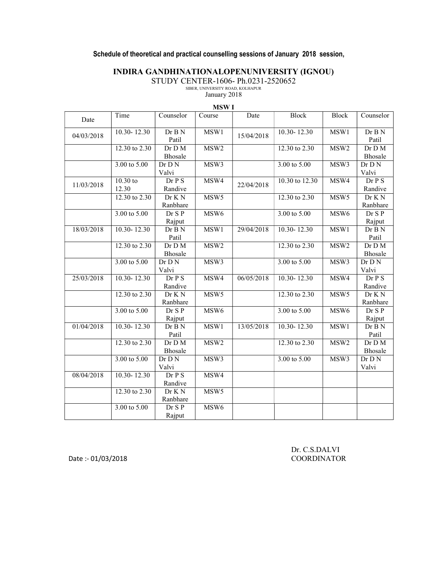### Schedule of theoretical and practical counselling sessions of January 2018 session,

## INDIRA GANDHINATIONALOPENUNIVERSITY (IGNOU)

STUDY CENTER-1606- Ph.0231-2520652

SIBER, UNIVERSITY ROAD, KOLHAPUR January 2018

| . | ٠ | ×<br>۰. |  |
|---|---|---------|--|
|   |   |         |  |
|   |   |         |  |
|   |   |         |  |

|            |                         |                              | <b>MSWI</b>      |            |                              |                  |                              |
|------------|-------------------------|------------------------------|------------------|------------|------------------------------|------------------|------------------------------|
| Date       | Time                    | Counselor                    | Course           | Date       | Block                        | <b>Block</b>     | Counselor                    |
| 04/03/2018 | $10.30 - 12.30$         | Dr B N<br>Patil              | MSW1             | 15/04/2018 | $10.30 - 12.30$              | MSW1             | Dr B N<br>Patil              |
|            | 12.30 to 2.30           | Dr D M<br>Bhosale            | MSW <sub>2</sub> |            | 12.30 to 2.30                | MSW <sub>2</sub> | Dr D M<br>Bhosale            |
|            | $3.00 \text{ to } 5.00$ | Dr D N<br>Valvi              | MSW3             |            | $3.00 \text{ to } 5.00$      | MSW3             | Dr D N<br>Valvi              |
| 11/03/2018 | $10.30$ to<br>12.30     | Dr P S<br>Randive            | MSW4             | 22/04/2018 | 10.30 to 12.30               | MSW4             | Dr P S<br>Randive            |
|            | 12.30 to 2.30           | Dr K N<br>Ranbhare           | MSW <sub>5</sub> |            | 12.30 to 2.30                | MSW <sub>5</sub> | Dr K N<br>Ranbhare           |
|            | $3.00 \text{ to } 5.00$ | Dr S P<br>Rajput             | MSW <sub>6</sub> |            | $3.00 \text{ to } 5.00$      | MSW <sub>6</sub> | Dr S P<br>Rajput             |
| 18/03/2018 | $10.30 - 12.30$         | Dr B N<br>Patil              | MSW1             | 29/04/2018 | $10.30 - 12.30$              | MSW1             | Dr B N<br>Patil              |
|            | 12.30 to 2.30           | Dr D M<br>Bhosale            | MSW <sub>2</sub> |            | 12.30 to 2.30                | MSW <sub>2</sub> | Dr D M<br>Bhosale            |
|            | 3.00 to 5.00            | Dr D N<br>Valvi              | MSW3             |            | 3.00 to 5.00                 | MSW3             | Dr D N<br>Valvi              |
| 25/03/2018 | $10.30 - 12.30$         | Dr P S<br>Randive            | MSW4             | 06/05/2018 | $10.30 - 12.30$              | MSW4             | Dr P S<br>Randive            |
|            | 12.30 to 2.30           | Dr K N<br>Ranbhare           | MSW <sub>5</sub> |            | $12.\overline{30}$ to $2.30$ | MSW <sub>5</sub> | Dr K N<br>Ranbhare           |
|            | 3.00 to 5.00            | Dr S P<br>Rajput             | MSW <sub>6</sub> |            | $3.00 \text{ to } 5.00$      | MSW <sub>6</sub> | Dr S P<br>Rajput             |
| 01/04/2018 | $10.30 - 12.30$         | Dr B N<br>Patil              | MSW1             | 13/05/2018 | $10.30 - 12.30$              | MSW1             | Dr B N<br>Patil              |
|            | 12.30 to 2.30           | Dr D M<br>Bhosale            | MSW <sub>2</sub> |            | 12.30 to 2.30                | MSW <sub>2</sub> | Dr D M<br>Bhosale            |
|            | 3.00 to 5.00            | $\overline{D}r$ D N<br>Valvi | MSW3             |            | $3.00 \text{ to } 5.00$      | MSW3             | $\overline{D}r$ D N<br>Valvi |
| 08/04/2018 | $10.30 - 12.30$         | Dr P S<br>Randive            | MSW4             |            |                              |                  |                              |
|            | 12.30 to 2.30           | Dr K N<br>Ranbhare           | MSW <sub>5</sub> |            |                              |                  |                              |
|            | $3.00 \text{ to } 5.00$ | Dr S P<br>Rajput             | MSW <sub>6</sub> |            |                              |                  |                              |

 Dr. C.S.DALVI Date :- 01/03/2018 COORDINATOR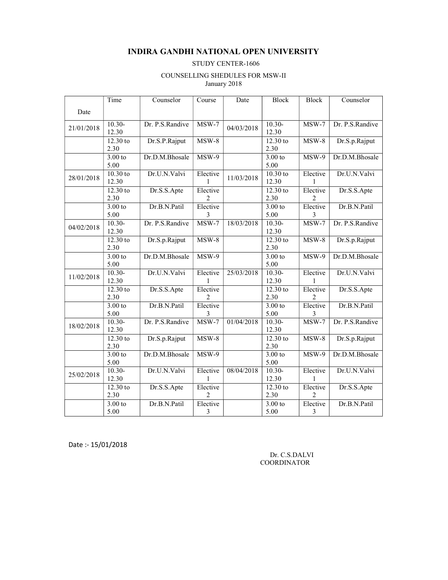#### INDIRA GANDHI NATIONAL OPEN UNIVERSITY

#### STUDY CENTER-1606

#### COUNSELLING SHEDULES FOR MSW-II January 2018

|            | Time                          | Counselor       | Course                              | Date       | <b>Block</b>        | <b>Block</b>              | Counselor       |
|------------|-------------------------------|-----------------|-------------------------------------|------------|---------------------|---------------------------|-----------------|
| Date       |                               |                 |                                     |            |                     |                           |                 |
| 21/01/2018 | $10.30-$<br>12.30             | Dr. P.S.Randive | $MSW-7$                             | 04/03/2018 | $10.30-$<br>12.30   | $MSW-7$                   | Dr. P.S.Randive |
|            | $\overline{12.30}$ to<br>2.30 | Dr.S.P.Rajput   | $MSW-8$                             |            | 12.30 to<br>2.30    | $MSW-8$                   | Dr.S.p.Rajput   |
|            | $3.00$ to<br>5.00             | Dr.D.M.Bhosale  | $MSW-9$                             |            | $3.00$ to<br>5.00   | MSW-9                     | Dr.D.M.Bhosale  |
| 28/01/2018 | $10.30$ to<br>12.30           | Dr.U.N.Valvi    | Elective                            | 11/03/2018 | $10.30$ to<br>12.30 | Elective<br>1             | Dr.U.N.Valvi    |
|            | $12.30$ to<br>2.30            | Dr.S.S.Apte     | Elective<br>2                       |            | 12.30 to<br>2.30    | Elective<br>2             | Dr.S.S.Apte     |
|            | 3.00 to<br>5.00               | Dr.B.N.Patil    | Elective<br>3                       |            | $3.00$ to<br>5.00   | Elective<br>3             | Dr.B.N.Patil    |
| 04/02/2018 | $10.30-$<br>12.30             | Dr. P.S.Randive | $MSW-7$                             | 18/03/2018 | $10.30-$<br>12.30   | $MSW-7$                   | Dr. P.S.Randive |
|            | 12.30 to<br>2.30              | Dr.S.p.Rajput   | $MSW-8$                             |            | $12.30$ to<br>2.30  | $MSW-8$                   | Dr.S.p.Rajput   |
|            | 3.00 to<br>5.00               | Dr.D.M.Bhosale  | $MSW-9$                             |            | 3.00 to<br>5.00     | $MSW-9$                   | Dr.D.M.Bhosale  |
| 11/02/2018 | $10.30 -$<br>12.30            | Dr.U.N.Valvi    | Elective                            | 25/03/2018 | $10.30 -$<br>12.30  | Elective                  | Dr.U.N.Valvi    |
|            | $12.30$ to<br>2.30            | Dr.S.S.Apte     | Elective<br>2                       |            | 12.30 to<br>2.30    | Elective<br>2             | Dr.S.S.Apte     |
|            | 3.00 to<br>5.00               | Dr.B.N.Patil    | Elective<br>3                       |            | 3.00 to<br>5.00     | Elective<br>3             | Dr.B.N.Patil    |
| 18/02/2018 | $10.30 -$<br>12.30            | Dr. P.S.Randive | $MSW-7$                             | 01/04/2018 | $10.30-$<br>12.30   | $\overline{\text{MSW-7}}$ | Dr. P.S.Randive |
|            | $\overline{12.30}$ to<br>2.30 | Dr.S.p.Rajput   | $MSW-8$                             |            | 12.30 to<br>2.30    | $MSW-8$                   | Dr.S.p.Rajput   |
|            | $3.00$ to<br>5.00             | Dr.D.M.Bhosale  | $\overline{MSW-9}$                  |            | $3.00$ to<br>5.00   | MSW-9                     | Dr.D.M.Bhosale  |
| 25/02/2018 | $10.30 -$<br>12.30            | Dr.U.N.Valvi    | Elective                            | 08/04/2018 | $10.30 -$<br>12.30  | Elective<br>1             | Dr.U.N.Valvi    |
|            | $12.30$ to<br>2.30            | Dr.S.S.Apte     | Elective<br>$\overline{\mathbf{c}}$ |            | 12.30 to<br>2.30    | Elective<br>2             | Dr.S.S.Apte     |
|            | 3.00 to<br>5.00               | Dr.B.N.Patil    | Elective<br>3                       |            | 3.00 to<br>5.00     | Elective<br>3             | Dr.B.N.Patil    |

Date :- 15/01/2018

 Dr. C.S.DALVI COORDINATOR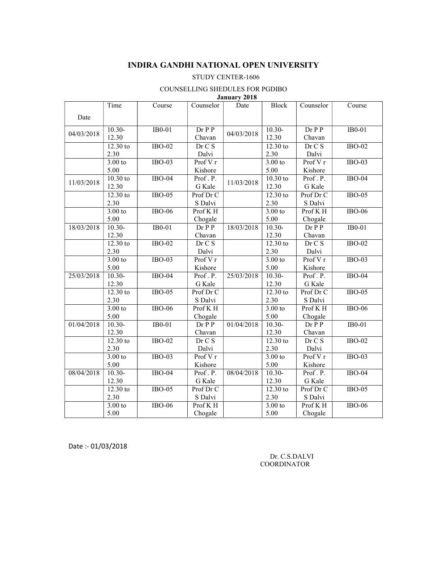#### INDIRA GANDHI NATIONAL OPEN UNIVERSITY

#### STUDY CENTER-1606

#### COUNSELLING SHEDULES FOR PGDIBO

|  | January 2018 |  |
|--|--------------|--|
|  |              |  |

|            | Time       | Course        | Counselor    | Date       | <b>Block</b>          | Counselor    | Course        |
|------------|------------|---------------|--------------|------------|-----------------------|--------------|---------------|
| Date       |            |               |              |            |                       |              |               |
|            | $10.30-$   | $IB0-01$      | $Dr$ $P$ $P$ |            | $10.30-$              | $Dr$ $P$ $P$ | IB0-01        |
| 04/03/2018 | 12.30      |               | Chavan       | 04/03/2018 | 12.30                 | Chavan       |               |
|            | $12.30$ to | $IBO-02$      | Dr C S       |            | 12.30 to              | Dr C S       | $IBO-02$      |
|            | 2.30       |               | Dalvi        |            | 2.30                  | Dalvi        |               |
|            | 3.00 to    | $IBO-03$      | Prof V r     |            | 3.00 to               | Prof V r     | $IBO-03$      |
|            | 5.00       |               | Kishore      |            | 5.00                  | Kishore      |               |
| 11/03/2018 | $10.30$ to | $IBO-04$      | Prof.P.      | 11/03/2018 | $10.30$ to            | Prof.P.      | $IBO-04$      |
|            | 12.30      |               | G Kale       |            | 12.30                 | G Kale       |               |
|            | $12.30$ to | $IBO-05$      | Prof Dr C    |            | $\overline{12.30}$ to | Prof Dr C    | $IBO-05$      |
|            | 2.30       |               | S Dalvi      |            | 2.30                  | S Dalvi      |               |
|            | 3.00 to    | $IBO-06$      | Prof K H     |            | 3.00 to               | Prof K H     | $IBO-06$      |
|            | 5.00       |               | Chogale      |            | 5.00                  | Chogale      |               |
| 18/03/2018 | $10.30-$   | $IB0-01$      | $Dr$ $P$ $P$ | 18/03/2018 | $10.30-$              | $Dr$ $P$ $P$ | $IB0-01$      |
|            | 12.30      |               | Chavan       |            | 12.30                 | Chavan       |               |
|            | $12.30$ to | $IBO-02$      | Dr C S       |            | 12.30 to              | Dr C S       | $IBO-02$      |
|            | 2.30       |               | Dalvi        |            | 2.30                  | Dalvi        |               |
|            | 3.00 to    | $IBO-03$      | Prof V r     |            | $3.00$ to             | Prof V r     | <b>IBO-03</b> |
|            | 5.00       |               | Kishore      |            | 5.00                  | Kishore      |               |
| 25/03/2018 | $10.30-$   | $IBO-04$      | Prof.P.      | 25/03/2018 | $10.30-$              | Prof.P.      | $IBO-04$      |
|            | 12.30      |               | G Kale       |            | 12.30                 | G Kale       |               |
|            | $12.30$ to | $IBO-05$      | Prof Dr C    |            | 12.30 to              | Prof Dr C    | $IBO-05$      |
|            | 2.30       |               | S Dalvi      |            | 2.30                  | S Dalvi      |               |
|            | 3.00 to    | $IBO-06$      | Prof K H     |            | 3.00 to               | Prof K H     | $IBO-06$      |
|            | 5.00       |               | Chogale      |            | 5.00                  | Chogale      |               |
| 01/04/2018 | $10.30-$   | $IB0-01$      | $Dr$ $P$ $P$ | 01/04/2018 | $10.30-$              | $Dr$ $P$ $P$ | $IB0-01$      |
|            | 12.30      |               | Chavan       |            | 12.30                 | Chavan       |               |
|            | $12.30$ to | <b>IBO-02</b> | Dr C S       |            | 12.30 to              | Dr C S       | <b>IBO-02</b> |
|            | 2.30       |               | Dalvi        |            | 2.30                  | Dalvi        |               |
|            | 3.00 to    | $IBO-03$      | Prof V r     |            | 3.00 to               | Prof V r     | $IBO-03$      |
|            | 5.00       |               | Kishore      |            | 5.00                  | Kishore      |               |
| 08/04/2018 | $10.30-$   | $IBO-04$      | Prof.P.      | 08/04/2018 | $10.30-$              | Prof.P.      | $IBO-04$      |
|            | 12.30      |               | G Kale       |            | 12.30                 | G Kale       |               |
|            | $12.30$ to | $IBO-05$      | Prof Dr C    |            | 12.30 to              | Prof Dr C    | $IBO-05$      |
|            | 2.30       |               | S Dalvi      |            | 2.30                  | S Dalvi      |               |
|            | 3.00 to    | <b>IBO-06</b> | Prof K H     |            | 3.00 to               | Prof KH      | <b>IBO-06</b> |
|            | 5.00       |               | Chogale      |            | 5.00                  | Chogale      |               |

Date :- 01/03/2018

 Dr. C.S.DALVI COORDINATOR